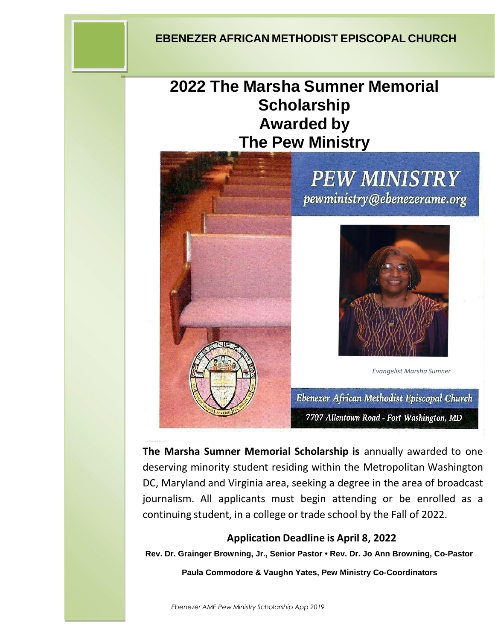# **EBENEZER AFRICAN METHODIST EPISCOPAL CHURCH**

# **2022 The Marsha Sumner Memorial Scholarship Awarded by The Pew Ministry**

# **PEW MINISTRY** pewministry@ebenezerame.org

*Evangelist Marsha Sumner*

Ebenezer African Methodist Episcopal Church 7707 Allentown Road - Fort Washington, MD

**EBENEZER AFRICAN METHODIST EPISCOPAL CHURCH** continuing student, in a college or trade school by the Fall of 2022. **The Marsha Sumner Memorial Scholarship is** annually awarded to one deserving minority student residing within the Metropolitan Washington DC, Maryland and Virginia area, seeking a degree in the area of broadcast journalism. All applicants must begin attending or be enrolled as a

## **Application Deadline is April 8, 2022**

**Rev. Dr. Grainger Browning, Jr., Senior Pastor • Rev. Dr. Jo Ann Browning, Co-Pastor**

**Paula Commodore & Vaughn Yates, Pew Ministry Co-Coordinators**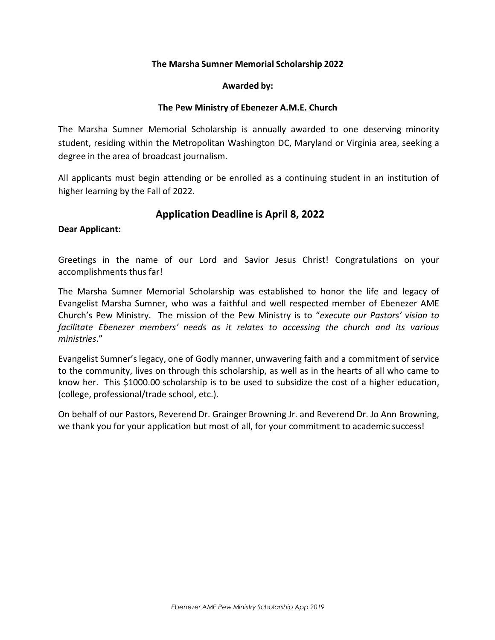#### **The Marsha Sumner Memorial Scholarship 2022**

#### **Awarded by:**

#### **The Pew Ministry of Ebenezer A.M.E. Church**

The Marsha Sumner Memorial Scholarship is annually awarded to one deserving minority student, residing within the Metropolitan Washington DC, Maryland or Virginia area, seeking a degree in the area of broadcast journalism.

All applicants must begin attending or be enrolled as a continuing student in an institution of higher learning by the Fall of 2022.

#### **Application Deadline is April 8, 2022**

#### **Dear Applicant:**

Greetings in the name of our Lord and Savior Jesus Christ! Congratulations on your accomplishments thus far!

The Marsha Sumner Memorial Scholarship was established to honor the life and legacy of Evangelist Marsha Sumner, who was a faithful and well respected member of Ebenezer AME Church's Pew Ministry. The mission of the Pew Ministry is to "*execute our Pastors' vision to facilitate Ebenezer members' needs as it relates to accessing the church and its various ministries*."

Evangelist Sumner's legacy, one of Godly manner, unwavering faith and a commitment of service to the community, lives on through this scholarship, as well as in the hearts of all who came to know her. This \$1000.00 scholarship is to be used to subsidize the cost of a higher education, (college, professional/trade school, etc.).

On behalf of our Pastors, Reverend Dr. Grainger Browning Jr. and Reverend Dr. Jo Ann Browning, we thank you for your application but most of all, for your commitment to academic success!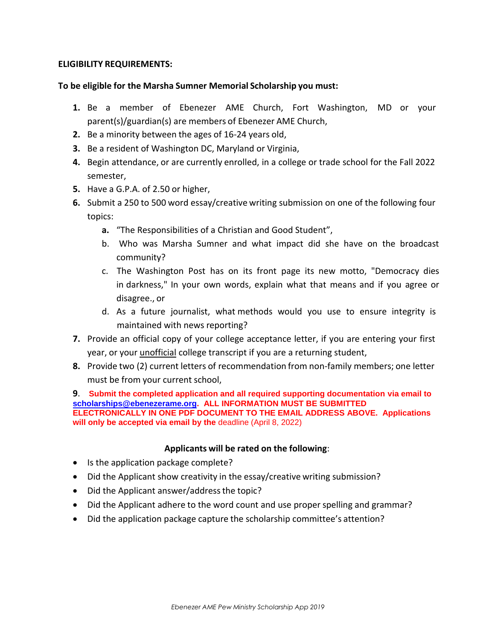#### **ELIGIBILITY REQUIREMENTS:**

#### **To be eligible for the Marsha Sumner Memorial Scholarship you must:**

- **1.** Be a member of Ebenezer AME Church, Fort Washington, MD or your parent(s)/guardian(s) are members of Ebenezer AME Church,
- **2.** Be a minority between the ages of 16‐24 years old,
- **3.** Be a resident of Washington DC, Maryland or Virginia,
- **4.** Begin attendance, or are currently enrolled, in a college or trade school for the Fall 2022 semester,
- **5.** Have a G.P.A. of 2.50 or higher,
- **6.** Submit a 250 to 500 word essay/creative writing submission on one of the following four topics:
	- **a.** "The Responsibilities of a Christian and Good Student",
	- b. Who was Marsha Sumner and what impact did she have on the broadcast community?
	- c. The Washington Post has on its front page its new motto, "Democracy dies in darkness," In your own words, explain what that means and if you agree or disagree., or
	- d. As a future journalist, what methods would you use to ensure integrity is maintained with news reporting?
- **7.** Provide an official copy of your college acceptance letter, if you are entering your first year, or your unofficial college transcript if you are a returning student,
- **8.** Provide two (2) current letters of recommendation from non‐family members; one letter must be from your current school,

**9**. **Submit the completed application and all required supporting documentation via email to [scholarships@ebenezerame.org.](mailto:scholarships@ebenezerame.org) ALL INFORMATION MUST BE SUBMITTED ELECTRONICALLY IN ONE PDF DOCUMENT TO THE EMAIL ADDRESS ABOVE. Applications will only be accepted via email by the** deadline (April 8, 2022)

#### **Applicants will be rated on the following**:

- Is the application package complete?
- Did the Applicant show creativity in the essay/creative writing submission?
- Did the Applicant answer/address the topic?
- Did the Applicant adhere to the word count and use proper spelling and grammar?
- Did the application package capture the scholarship committee's attention?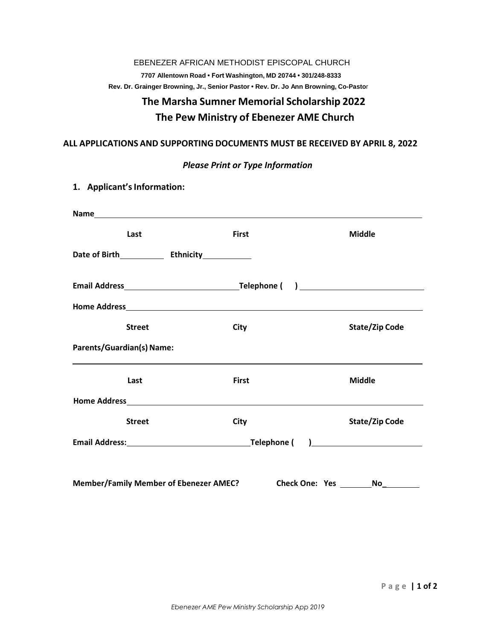### EBENEZER AFRICAN METHODIST EPISCOPAL CHURCH **7707 Allentown Road • Fort Washington, MD 20744 • 301/248-8333 Rev. Dr. Grainger Browning, Jr., Senior Pastor • Rev. Dr. Jo Ann Browning, Co-Pasto**r

# **The Marsha Sumner Memorial Scholarship 2022 The Pew Ministry of Ebenezer AME Church**

#### **ALL APPLICATIONS AND SUPPORTING DOCUMENTS MUST BE RECEIVED BY APRIL 8, 2022**

|  |  |  | <b>Please Print or Type Information</b> |
|--|--|--|-----------------------------------------|
|--|--|--|-----------------------------------------|

| 1. Applicant's Information:                                        |              |                |  |  |  |
|--------------------------------------------------------------------|--------------|----------------|--|--|--|
|                                                                    |              |                |  |  |  |
| Last                                                               | <b>First</b> | <b>Middle</b>  |  |  |  |
|                                                                    |              |                |  |  |  |
|                                                                    |              |                |  |  |  |
|                                                                    |              |                |  |  |  |
| <b>Street</b>                                                      | City         | State/Zip Code |  |  |  |
| <b>Parents/Guardian(s) Name:</b>                                   |              |                |  |  |  |
| Last                                                               | <b>First</b> | <b>Middle</b>  |  |  |  |
|                                                                    |              |                |  |  |  |
| <b>Street</b>                                                      | City         | State/Zip Code |  |  |  |
|                                                                    |              |                |  |  |  |
|                                                                    |              |                |  |  |  |
| <b>Member/Family Member of Ebenezer AMEC?</b><br>Check One: Yes No |              |                |  |  |  |